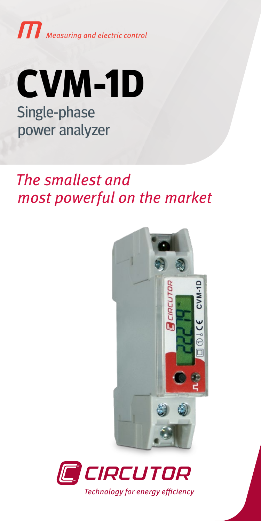



# The smallest and most powerful on the market



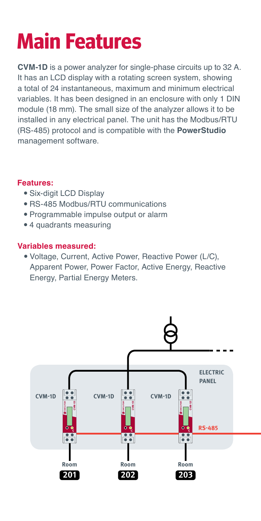# **Main Features**

**CVM-1D** is a power analyzer for single-phase circuits up to 32 A. It has an LCD display with a rotating screen system, showing a total of 24 instantaneous, maximum and minimum electrical variables. It has been designed in an enclosure with only 1 DIN module (18 mm). The small size of the analyzer allows it to be installed in any electrical panel. The unit has the Modbus/RTU (RS-485) protocol and is compatible with the **PowerStudio** management software.

## **Features:**

- Six-digit LCD Display
- RS-485 Modbus/RTU communications
- Programmable impulse output or alarm
- 4 quadrants measuring

## **Variables measured:**

• Voltage, Current, Active Power, Reactive Power (L/C), Apparent Power, Power Factor, Active Energy, Reactive Energy, Partial Energy Meters.

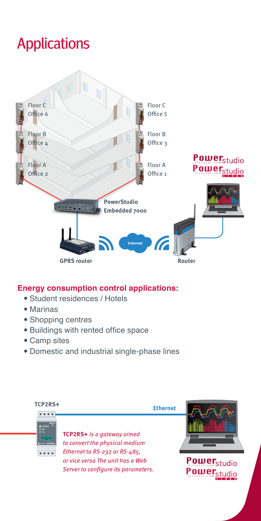# Applications



#### **Energy consumption control applications:**

- Student residences / Hotels
- $•$  Marinas
- Shopping centres
- Buildings with rented office space
- Camp sites
- Domestic and industrial single-phase lines